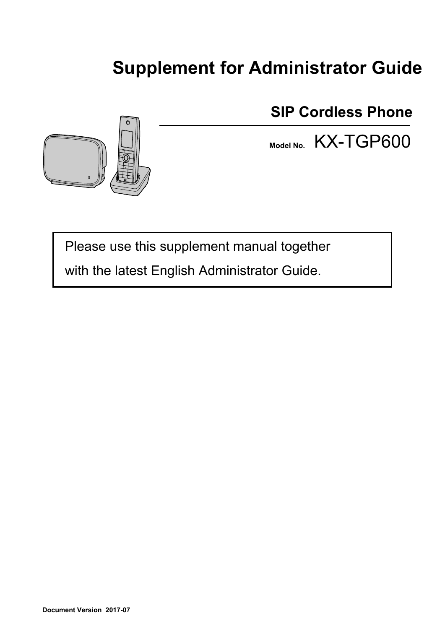# **Supplement for Administrator Guide**



**SIP Cordless Phone**

**Model No.** KX-TGP600

Please use this supplement manual together

with the latest English Administrator Guide.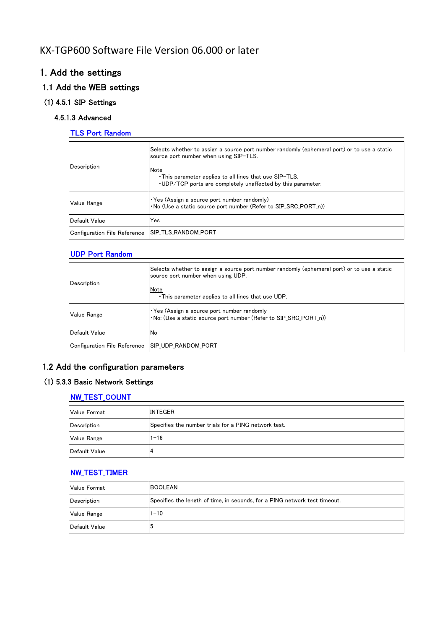# KX‐TGP600 Software File Version 06.000 or later

# 1. Add the settings

### 1.1 Add the WEB settings

### (1) 4.5.1 SIP Settings

### 4.5.1.3 Advanced

### TLS Port Random

| Description                  | Selects whether to assign a source port number randomly (ephemeral port) or to use a static<br>source port number when using SIP-TLS.<br>Note<br>This parameter applies to all lines that use SIP-TLS.<br>. UDP/TCP ports are completely unaffected by this parameter. |
|------------------------------|------------------------------------------------------------------------------------------------------------------------------------------------------------------------------------------------------------------------------------------------------------------------|
| Value Range                  | $\cdot$ Yes (Assign a source port number randomly)<br>. No (Use a static source port number (Refer to SIP_SRC_PORT_n))                                                                                                                                                 |
| Default Value                | Yes                                                                                                                                                                                                                                                                    |
| Configuration File Reference | ISIP TLS RANDOM PORT                                                                                                                                                                                                                                                   |

### UDP Port Random

| Description                  | Selects whether to assign a source port number randomly (ephemeral port) or to use a static<br>source port number when using UDP.<br>Note<br>This parameter applies to all lines that use UDP. |
|------------------------------|------------------------------------------------------------------------------------------------------------------------------------------------------------------------------------------------|
| Value Range                  | • Yes (Assign a source port number randomly<br>•No: (Use a static source port number (Refer to SIP SRC PORT n))                                                                                |
| Default Value                | No                                                                                                                                                                                             |
| Configuration File Reference | ISIP UDP RANDOM PORT                                                                                                                                                                           |

# 1.2 Add the configuration parameters

### (1) 5.3.3 Basic Network Settings

### NW\_TEST\_COUNT

| <b>Value Format</b> | <b>INTEGER</b>                                       |
|---------------------|------------------------------------------------------|
| Description         | Specifies the number trials for a PING network test. |
| <b>Value Range</b>  | $1 - 16$                                             |
| Default Value       | 4                                                    |

### NW\_TEST\_TIMER

| <b>Value Format</b> | <b>BOOLEAN</b>                                                             |
|---------------------|----------------------------------------------------------------------------|
| Description         | Specifies the length of time, in seconds, for a PING network test timeout. |
| <b>Value Range</b>  | $1 - 10$                                                                   |
| Default Value       | 5                                                                          |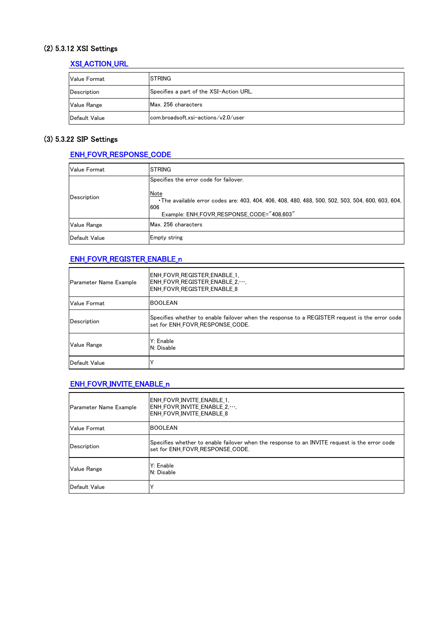### (2) 5.3.12 XSI Settings

## XSI\_ACTION\_URL

| Value Format       | ISTRING.                                |
|--------------------|-----------------------------------------|
| Description        | Specifies a part of the XSI-Action URL. |
| <b>Value Range</b> | Max. 256 characters                     |
| Default Value      | lcom.broadsoft.xsi-actions/v2.0/user    |

### (3) 5.3.22 SIP Settings

# ENH\_FOVR\_RESPONSE\_CODE

| <b>Value Format</b> | <b>STRING</b>                                                                                                  |
|---------------------|----------------------------------------------------------------------------------------------------------------|
| Description         | Specifies the error code for failover.                                                                         |
|                     | Note<br>The available error codes are: 403, 404, 406, 408, 480, 488, 500, 502, 503, 504, 600, 603, 604,<br>606 |
|                     | Example: ENH_FOVR_RESPONSE_CODE="408,603"                                                                      |
| <b>Value Range</b>  | Max. 256 characters                                                                                            |
| Default Value       | <b>Empty string</b>                                                                                            |

### ENH\_FOVR\_REGISTER\_ENABLE\_n

| Parameter Name Example | IENH FOVR REGISTER ENABLE 1.<br>ENH FOVR REGISTER ENABLE 2<br><b>ENH FOVR REGISTER ENABLE 8</b>                                   |
|------------------------|-----------------------------------------------------------------------------------------------------------------------------------|
| <b>Value Format</b>    | <b>BOOLEAN</b>                                                                                                                    |
| Description            | Specifies whether to enable failover when the response to a REGISTER request is the error code<br>set for ENH FOVR RESPONSE CODE. |
| <b>Value Range</b>     | Y: Enable<br>N: Disable                                                                                                           |
| Default Value          |                                                                                                                                   |

### ENH\_FOVR\_INVITE\_ENABLE\_n

| Parameter Name Example | ENH FOVR INVITE ENABLE 1.<br>ENH FOVR INVITE ENABLE 2<br><b>ENH FOVR INVITE ENABLE 8</b>                                          |
|------------------------|-----------------------------------------------------------------------------------------------------------------------------------|
| <b>Value Format</b>    | <b>BOOLEAN</b>                                                                                                                    |
| Description            | Specifies whether to enable failover when the response to an INVITE request is the error code<br>lset for ENH FOVR RESPONSE CODE. |
| <b>Value Range</b>     | Y: Enable<br>N: Disable                                                                                                           |
| Default Value          | v                                                                                                                                 |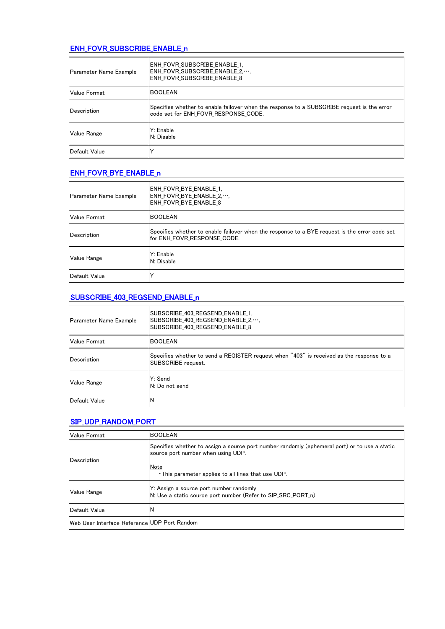### ENH\_FOVR\_SUBSCRIBE\_ENABLE\_n

| Parameter Name Example | ENH FOVR SUBSCRIBE ENABLE 1.<br>ENH FOVR SUBSCRIBE ENABLE 2<br>IENH FOVR SUBSCRIBE ENABLE 8                                        |
|------------------------|------------------------------------------------------------------------------------------------------------------------------------|
| Value Format           | <b>BOOLEAN</b>                                                                                                                     |
| Description            | Specifies whether to enable failover when the response to a SUBSCRIBE request is the error<br>code set for ENH FOVR RESPONSE CODE. |
| Value Range            | Y: Enable<br>N: Disable                                                                                                            |
| Default Value          | Υ                                                                                                                                  |

### ENH\_FOVR\_BYE\_ENABLE\_n

| <b>Parameter Name Example</b> | ENH FOVR BYE ENABLE 1.<br>ENH FOVR BYE ENABLE 2<br><b>ENH FOVR BYE ENABLE 8</b>                                              |
|-------------------------------|------------------------------------------------------------------------------------------------------------------------------|
| Value Format                  | <b>BOOLEAN</b>                                                                                                               |
| Description                   | Specifies whether to enable failover when the response to a BYE request is the error code set<br>for ENH FOVR RESPONSE CODE. |
| <b>Value Range</b>            | Y: Enable<br>N: Disable                                                                                                      |
| Default Value                 |                                                                                                                              |

# SUBSCRIBE\_403\_REGSEND\_ENABLE\_n

| Parameter Name Example | SUBSCRIBE 403 REGSEND ENABLE 1.<br>SUBSCRIBE 403 REGSEND ENABLE 2,<br>SUBSCRIBE 403 REGSEND ENABLE 8           |
|------------------------|----------------------------------------------------------------------------------------------------------------|
| Value Format           | <b>BOOLEAN</b>                                                                                                 |
| Description            | Specifies whether to send a REGISTER request when "403" is received as the response to a<br>SUBSCRIBE request. |
| <b>Value Range</b>     | Y: Send<br>IN: Do not send                                                                                     |
| Default Value          | N                                                                                                              |

### SIP\_UDP\_RANDOM\_PORT

| <b>Value Format</b>                          | IBOOLEAN                                                                                                                            |
|----------------------------------------------|-------------------------------------------------------------------------------------------------------------------------------------|
| Description                                  | Specifies whether to assign a source port number randomly (ephemeral port) or to use a static<br>source port number when using UDP. |
|                                              | Note<br>• This parameter applies to all lines that use UDP.                                                                         |
| Value Range                                  | Y: Assign a source port number randomly<br>N: Use a static source port number (Refer to SIP SRC PORT n)                             |
| Default Value                                | ΙN                                                                                                                                  |
| Web User Interface Reference UDP Port Random |                                                                                                                                     |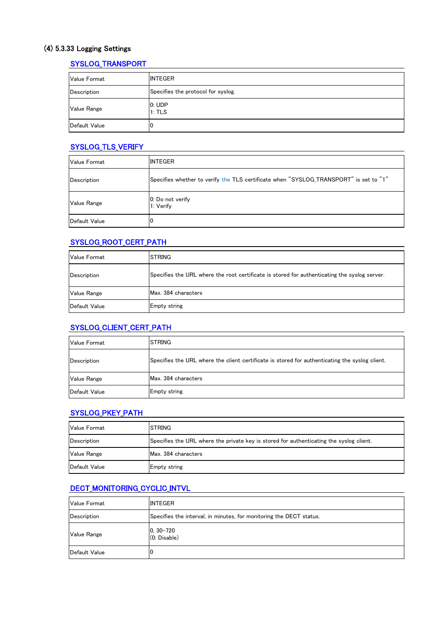# (4) 5.3.33 Logging Settings

## SYSLOG\_TRANSPORT

| Value Format  | <b>INTEGER</b>                     |
|---------------|------------------------------------|
| Description   | Specifies the protocol for syslog. |
| Value Range   | 0: UDP<br>1: TLS                   |
| Default Value | ıо                                 |

### SYSLOG\_TLS\_VERIFY

| <b>Value Format</b> | <b>INTEGER</b>                                                                        |  |
|---------------------|---------------------------------------------------------------------------------------|--|
| Description         | Specifies whether to verify the TLS certificate when "SYSLOG_TRANSPORT" is set to "1" |  |
| <b>Value Range</b>  | 0: Do not verify<br>1: Verify                                                         |  |
| Default Value       | 10                                                                                    |  |

### SYSLOG\_ROOT\_CERT\_PATH

| <b>Value Format</b> | <b>ISTRING</b>                                                                               |  |
|---------------------|----------------------------------------------------------------------------------------------|--|
| Description         | Specifies the URL where the root certificate is stored for authenticating the syslog server. |  |
| <b>Value Range</b>  | Max. 384 characters                                                                          |  |
| Default Value       | Empty string                                                                                 |  |

### SYSLOG\_CLIENT\_CERT\_PATH

| <b>Value Format</b> | <b>ISTRING</b>                                                                                 |  |
|---------------------|------------------------------------------------------------------------------------------------|--|
| Description         | Specifies the URL where the client certificate is stored for authenticating the syslog client. |  |
| <b>Value Range</b>  | Max. 384 characters                                                                            |  |
| Default Value       | <b>Empty string</b>                                                                            |  |

### SYSLOG\_PKEY\_PATH

| <b>Value Format</b> | <b>ISTRING</b>                                                                          |
|---------------------|-----------------------------------------------------------------------------------------|
| Description         | Specifies the URL where the private key is stored for authenticating the syslog client. |
| <b>Value Range</b>  | Max. 384 characters                                                                     |
| Default Value       | Empty string                                                                            |

# DECT\_MONITORING\_CYCLIC\_INTVL

| <b>Value Format</b> | <b>INTEGER</b>                                                      |  |
|---------------------|---------------------------------------------------------------------|--|
| Description         | Specifies the interval, in minutes, for monitoring the DECT status. |  |
| <b>Value Range</b>  | $ 0, 30 - 720$<br>$(0.$ Disable $)$                                 |  |
| Default Value       | 10                                                                  |  |